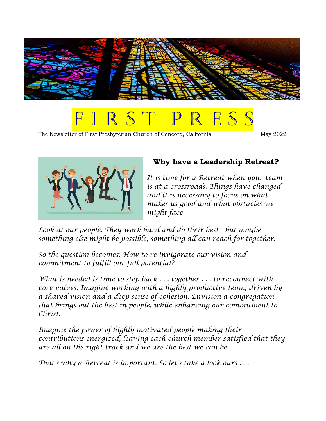



The Newsletter of First Presbyterian Church of Concord, California May 2022



# **Why have a Leadership Retreat?**

*It is time for a Retreat when your team is at a crossroads. Things have changed and it is necessary to focus on what makes us good and what obstacles we might face.*

*Look at our people. They work hard and do their best - but maybe something else might be possible, something all can reach for together.* 

*So the question becomes: How to re-invigorate our vision and commitment to fulfill our full potential?* 

*What is needed is time to step back . . . together . . . to reconnect with core values. Imagine working with a highly productive team, driven by a shared vision and a deep sense of cohesion. Envision a congregation that brings out the best in people, while enhancing our commitment to Christ.*

*Imagine the power of highly motivated people making their contributions energized, leaving each church member satisfied that they are all on the right track and we are the best we can be.* 

*That's why a Retreat is important. So let's take a look ours . . .*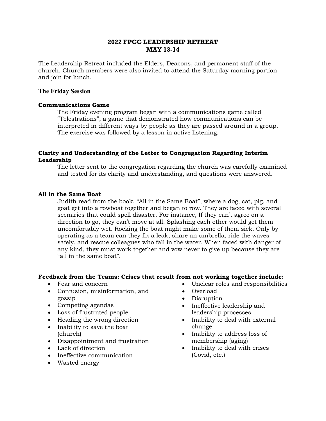## **2022 FPCC LEADERSHIP RETREAT MAY 13-14**

The Leadership Retreat included the Elders, Deacons, and permanent staff of the church. Church members were also invited to attend the Saturday morning portion and join for lunch.

### **The Friday Session**

## **Communications Game**

The Friday evening program began with a communications game called "Telestrations", a game that demonstrated how communications can be interpreted in different ways by people as they are passed around in a group. The exercise was followed by a lesson in active listening.

## **Clarity and Understanding of the Letter to Congregation Regarding Interim Leadership**

The letter sent to the congregation regarding the church was carefully examined and tested for its clarity and understanding, and questions were answered.

## **All in the Same Boat**

Judith read from the book, "All in the Same Boat", where a dog, cat, pig, and goat get into a rowboat together and began to row. They are faced with several scenarios that could spell disaster. For instance, If they can't agree on a direction to go, they can't move at all. Splashing each other would get them uncomfortably wet. Rocking the boat might make some of them sick. Only by operating as a team can they fix a leak, share an umbrella, ride the waves safely, and rescue colleagues who fall in the water. When faced with danger of any kind, they must work together and vow never to give up because they are "all in the same boat".

### **Feedback from the Teams: Crises that result from not working together include:**

- Fear and concern
- Confusion, misinformation, and gossip
- Competing agendas
- Loss of frustrated people
- Heading the wrong direction
- Inability to save the boat (church)
- Disappointment and frustration
- Lack of direction
- Ineffective communication
- Wasted energy
- Unclear roles and responsibilities
- Overload
- Disruption
- Ineffective leadership and leadership processes
- Inability to deal with external change
- Inability to address loss of membership (aging)
- Inability to deal with crises (Covid, etc.)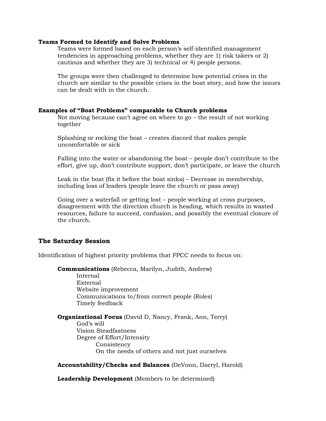#### **Teams Formed to Identify and Solve Problems**

Teams were formed based on each person's self-identified management tendencies in approaching problems, whether they are 1) risk takers or 2) cautious and whether they are 3) technical or 4) people persons.

The groups were then challenged to determine how potential crises in the church are similar to the possible crises in the boat story, and how the issues can be dealt with in the church.

#### **Examples of "Boat Problems" comparable to Church problems**

Not moving because can't agree on where to go – the result of not working together

Splashing or rocking the boat – creates discord that makes people uncomfortable or sick

Falling into the water or abandoning the boat – people don't contribute to the effort, give up, don't contribute support, don't participate, or leave the church

Leak in the boat (fix it before the boat sinks) – Decrease in membership, including loss of leaders (people leave the church or pass away)

Going over a waterfall or getting lost – people working at cross purposes, disagreement with the direction church is heading, which results in wasted resources, failure to succeed, confusion, and possibly the eventual closure of the church.

### **The Saturday Session**

Identification of highest priority problems that FPCC needs to focus on:

**Communications** (Rebecca, Marilyn, Judith, Andrew)

Internal External Website improvement Communications to/from correct people (Roles) Timely feedback

**Organizational Focus** (David D, Nancy, Frank, Ann, Terry) God's will Vision Steadfastness Degree of Effort/Intensity Consistency On the needs of others and not just ourselves

**Accountability/Checks and Balances** (DeVonn, Darryl, Harold)

**Leadership Development** (Members to be determined)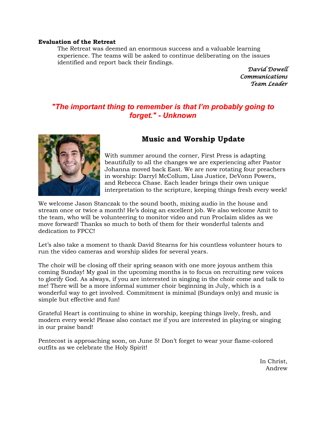#### **Evaluation of the Retreat**

The Retreat was deemed an enormous success and a valuable learning experience. The teams will be asked to continue deliberating on the issues identified and report back their findings.

> *David Dowell Communications Team Leader*

# *"The important thing to remember is that I'm probably going to forget." - Unknown*



# **Music and Worship Update**

With summer around the corner, First Press is adapting beautifully to all the changes we are experiencing after Pastor Johanna moved back East. We are now rotating four preachers in worship: Darryl McCollum, Lisa Justice, DeVonn Powers, and Rebecca Chase. Each leader brings their own unique interpretation to the scripture, keeping things fresh every week!

We welcome Jason Stanczak to the sound booth, mixing audio in the house and stream once or twice a month! He's doing an excellent job. We also welcome Amit to the team, who will be volunteering to monitor video and run Proclaim slides as we move forward! Thanks so much to both of them for their wonderful talents and dedication to FPCC!

Let's also take a moment to thank David Stearns for his countless volunteer hours to run the video cameras and worship slides for several years.

The choir will be closing off their spring season with one more joyous anthem this coming Sunday! My goal in the upcoming months is to focus on recruiting new voices to glorify God. As always, if you are interested in singing in the choir come and talk to me! There will be a more informal summer choir beginning in July, which is a wonderful way to get involved. Commitment is minimal (Sundays only) and music is simple but effective and fun!

Grateful Heart is continuing to shine in worship, keeping things lively, fresh, and modern every week! Please also contact me if you are interested in playing or singing in our praise band!

Pentecost is approaching soon, on June 5! Don't forget to wear your flame-colored outfits as we celebrate the Holy Spirit!

> In Christ, Andrew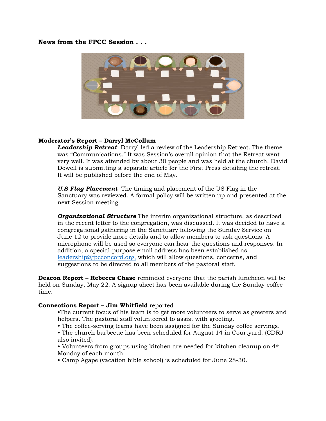## **News from the FPCC Session . . .**



## **Moderator's Report – Darryl McCollum**

*Leadership Retreat* Darryl led a review of the Leadership Retreat. The theme was "Communications." It was Session's overall opinion that the Retreat went very well. It was attended by about 30 people and was held at the church. David Dowell is submitting a separate article for the First Press detailing the retreat. It will be published before the end of May.

*U.S Flag Placement* The timing and placement of the US Flag in the Sanctuary was reviewed. A formal policy will be written up and presented at the next Session meeting.

*Organizational Structure* The interim organizational structure, as described in the recent letter to the congregation, was discussed. It was decided to have a congregational gathering in the Sanctuary following the Sunday Service on June 12 to provide more details and to allow members to ask questions. A microphone will be used so everyone can hear the questions and responses. In addition, a special-purpose email address has been established as [leadership@fpcconcord.org,](mailto:leadership@fpcconcord.org) which will allow questions, concerns, and suggestions to be directed to all members of the pastoral staff.

**Deacon Report – Rebecca Chase** reminded everyone that the parish luncheon will be held on Sunday, May 22. A signup sheet has been available during the Sunday coffee time.

### **Connections Report – Jim Whitfield** reported

- •The current focus of his team is to get more volunteers to serve as greeters and helpers. The pastoral staff volunteered to assist with greeting.
- The coffee-serving teams have been assigned for the Sunday coffee servings.
- The church barbecue has been scheduled for August 14 in Courtyard. (CDRJ also invited).
- Volunteers from groups using kitchen are needed for kitchen cleanup on 4<sup>th</sup> Monday of each month.
- Camp Agape (vacation bible school) is scheduled for June 28-30.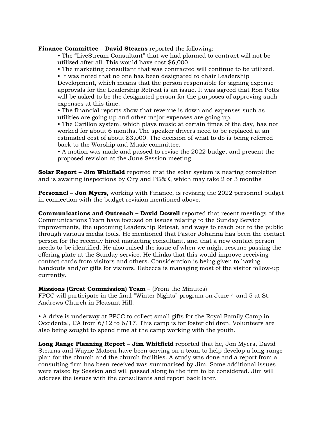**Finance Committee** – **David Stearns** reported the following:

• The "LiveStream Consultant" that we had planned to contract will not be utilized after all. This would have cost \$6,000.

• The marketing consultant that was contracted will continue to be utilized.

• It was noted that no one has been designated to chair Leadership Development, which means that the person responsible for signing expense approvals for the Leadership Retreat is an issue. It was agreed that Ron Potts will be asked to be the designated person for the purposes of approving such expenses at this time.

• The financial reports show that revenue is down and expenses such as utilities are going up and other major expenses are going up.

• The Carillon system, which plays music at certain times of the day, has not worked for about 6 months. The speaker drivers need to be replaced at an estimated cost of about \$3,000. The decision of what to do is being referred back to the Worship and Music committee.

• A motion was made and passed to revise the 2022 budget and present the proposed revision at the June Session meeting.

**Solar Report – Jim Whitfield** reported that the solar system is nearing completion and is awaiting inspections by City and PG&E, which may take 2 or 3 months

**Personnel – Jon Myers**, working with Finance, is revising the 2022 personnel budget in connection with the budget revision mentioned above.

**Communications and Outreach – David Dowell** reported that recent meetings of the Communications Team have focused on issues relating to the Sunday Service improvements, the upcoming Leadership Retreat, and ways to reach out to the public through various media tools. He mentioned that Pastor Johanna has been the contact person for the recently hired marketing consultant, and that a new contact person needs to be identified. He also raised the issue of when we might resume passing the offering plate at the Sunday service. He thinks that this would improve receiving contact cards from visitors and others. Consideration is being given to having handouts and/or gifts for visitors. Rebecca is managing most of the visitor follow-up currently.

## **Missions (Great Commission) Team** – (From the Minutes)

FPCC will participate in the final "Winter Nights" program on June 4 and 5 at St. Andrews Church in Pleasant Hill.

• A drive is underway at FPCC to collect small gifts for the Royal Family Camp in Occidental, CA from 6/12 to 6/17. This camp is for foster children. Volunteers are also being sought to spend time at the camp working with the youth.

**Long Range Planning Report – Jim Whitfield** reported that he, Jon Myers, David Stearns and Wayne Matzen have been serving on a team to help develop a long-range plan for the church and the church facilities. A study was done and a report from a consulting firm has been received was summarized by Jim. Some additional issues were raised by Session and will passed along to the firm to be considered. Jim will address the issues with the consultants and report back later.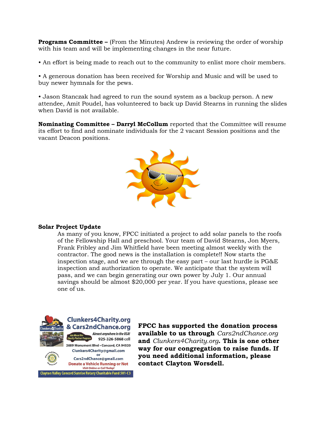**Programs Committee –** (From the Minutes) Andrew is reviewing the order of worship with his team and will be implementing changes in the near future.

• An effort is being made to reach out to the community to enlist more choir members.

• A generous donation has been received for Worship and Music and will be used to buy newer hymnals for the pews.

• Jason Stanczak had agreed to run the sound system as a backup person. A new attendee, Amit Poudel, has volunteered to back up David Stearns in running the slides when David is not available.

**Nominating Committee – Darryl McCollum** reported that the Committee will resume its effort to find and nominate individuals for the 2 vacant Session positions and the vacant Deacon positions.



### **Solar Project Update**

As many of you know, FPCC initiated a project to add solar panels to the roofs of the Fellowship Hall and preschool. Your team of David Stearns, Jon Myers, Frank Fribley and Jim Whitfield have been meeting almost weekly with the contractor. The good news is the installation is complete!! Now starts the inspection stage, and we are through the easy part – our last hurdle is PG&E inspection and authorization to operate. We anticipate that the system will pass, and we can begin generating our own power by July 1. Our annual savings should be almost \$20,000 per year. If you have questions, please see one of us.



**Clunkers4Charity.org** & Cars2ndChance.org Almost anywhere in the USA! 925-326-5868 cell 2689 Monument Blvd . Concord, CA 94520

Clunkers4Charity@gmail.com Cars2ndChance@gmail.com **Donate a Vehicle Running or Not Visit Online or Call Today!** 

Clayton Valley Concord Sunrise Rotary Charitable Fund 501-C3

**FPCC has supported the donation process available to us through** *Cars2ndChance.org* **and** *Clunkers4Charity.org***. This is one other way for our congregation to raise funds. If you need additional information, please contact Clayton Worsdell.**